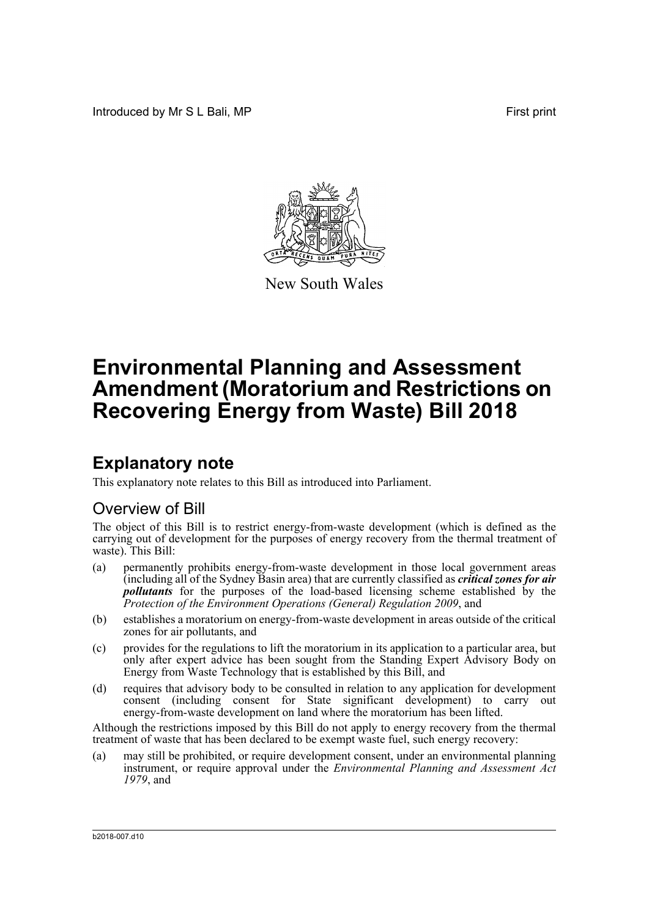Introduced by Mr S L Bali, MP **First print** 



New South Wales

# **Environmental Planning and Assessment Amendment (Moratorium and Restrictions on Recovering Energy from Waste) Bill 2018**

# **Explanatory note**

This explanatory note relates to this Bill as introduced into Parliament.

# Overview of Bill

The object of this Bill is to restrict energy-from-waste development (which is defined as the carrying out of development for the purposes of energy recovery from the thermal treatment of waste). This Bill:

- (a) permanently prohibits energy-from-waste development in those local government areas (including all of the Sydney Basin area) that are currently classified as *critical zones for air pollutants* for the purposes of the load-based licensing scheme established by the *Protection of the Environment Operations (General) Regulation 2009*, and
- (b) establishes a moratorium on energy-from-waste development in areas outside of the critical zones for air pollutants, and
- (c) provides for the regulations to lift the moratorium in its application to a particular area, but only after expert advice has been sought from the Standing Expert Advisory Body on Energy from Waste Technology that is established by this Bill, and
- (d) requires that advisory body to be consulted in relation to any application for development  $\overrightarrow{constant}$  (including consent for State significant development) to carry energy-from-waste development on land where the moratorium has been lifted.

Although the restrictions imposed by this Bill do not apply to energy recovery from the thermal treatment of waste that has been declared to be exempt waste fuel, such energy recovery:

(a) may still be prohibited, or require development consent, under an environmental planning instrument, or require approval under the *Environmental Planning and Assessment Act 1979*, and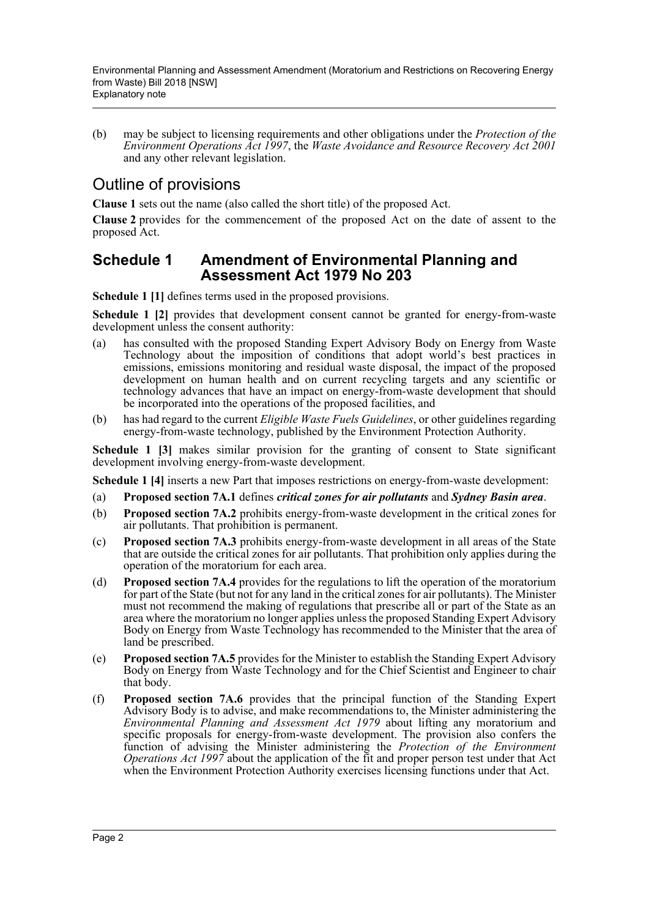(b) may be subject to licensing requirements and other obligations under the *Protection of the Environment Operations Act 1997*, the *Waste Avoidance and Resource Recovery Act 2001* and any other relevant legislation.

# Outline of provisions

**Clause 1** sets out the name (also called the short title) of the proposed Act.

**Clause 2** provides for the commencement of the proposed Act on the date of assent to the proposed Act.

# **Schedule 1 Amendment of Environmental Planning and Assessment Act 1979 No 203**

**Schedule 1 [1]** defines terms used in the proposed provisions.

**Schedule 1 [2]** provides that development consent cannot be granted for energy-from-waste development unless the consent authority:

- (a) has consulted with the proposed Standing Expert Advisory Body on Energy from Waste Technology about the imposition of conditions that adopt world's best practices in emissions, emissions monitoring and residual waste disposal, the impact of the proposed development on human health and on current recycling targets and any scientific or technology advances that have an impact on energy-from-waste development that should be incorporated into the operations of the proposed facilities, and
- (b) has had regard to the current *Eligible Waste Fuels Guidelines*, or other guidelines regarding energy-from-waste technology, published by the Environment Protection Authority.

**Schedule 1 [3]** makes similar provision for the granting of consent to State significant development involving energy-from-waste development.

**Schedule 1 [4]** inserts a new Part that imposes restrictions on energy-from-waste development:

- (a) **Proposed section 7A.1** defines *critical zones for air pollutants* and *Sydney Basin area*.
- (b) **Proposed section 7A.2** prohibits energy-from-waste development in the critical zones for air pollutants. That prohibition is permanent.
- (c) **Proposed section 7A.3** prohibits energy-from-waste development in all areas of the State that are outside the critical zones for air pollutants. That prohibition only applies during the operation of the moratorium for each area.
- (d) **Proposed section 7A.4** provides for the regulations to lift the operation of the moratorium for part of the State (but not for any land in the critical zones for air pollutants). The Minister must not recommend the making of regulations that prescribe all or part of the State as an area where the moratorium no longer applies unless the proposed Standing Expert Advisory Body on Energy from Waste Technology has recommended to the Minister that the area of land be prescribed.
- (e) **Proposed section 7A.5** provides for the Minister to establish the Standing Expert Advisory Body on Energy from Waste Technology and for the Chief Scientist and Engineer to chair that body.
- (f) **Proposed section 7A.6** provides that the principal function of the Standing Expert Advisory Body is to advise, and make recommendations to, the Minister administering the *Environmental Planning and Assessment Act 1979* about lifting any moratorium and specific proposals for energy-from-waste development. The provision also confers the function of advising the Minister administering the *Protection of the Environment Operations Act 1997* about the application of the fit and proper person test under that Act when the Environment Protection Authority exercises licensing functions under that Act.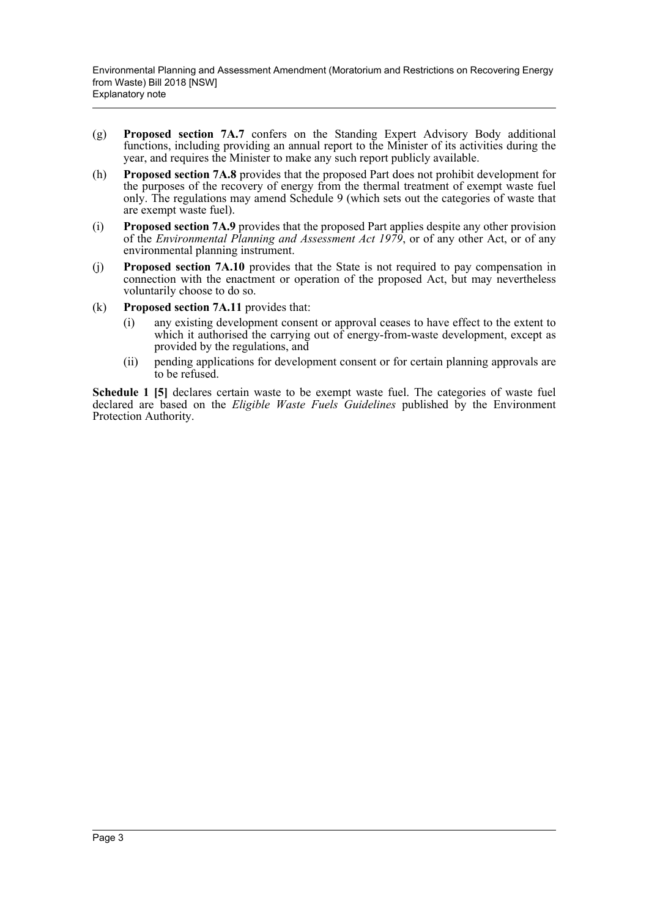- (g) **Proposed section 7A.7** confers on the Standing Expert Advisory Body additional functions, including providing an annual report to the Minister of its activities during the year, and requires the Minister to make any such report publicly available.
- (h) **Proposed section 7A.8** provides that the proposed Part does not prohibit development for the purposes of the recovery of energy from the thermal treatment of exempt waste fuel only. The regulations may amend Schedule 9 (which sets out the categories of waste that are exempt waste fuel).
- (i) **Proposed section 7A.9** provides that the proposed Part applies despite any other provision of the *Environmental Planning and Assessment Act 1979*, or of any other Act, or of any environmental planning instrument.
- (j) **Proposed section 7A.10** provides that the State is not required to pay compensation in connection with the enactment or operation of the proposed Act, but may nevertheless voluntarily choose to do so.
- (k) **Proposed section 7A.11** provides that:
	- (i) any existing development consent or approval ceases to have effect to the extent to which it authorised the carrying out of energy-from-waste development, except as provided by the regulations, and
	- (ii) pending applications for development consent or for certain planning approvals are to be refused.

Schedule 1 [5] declares certain waste to be exempt waste fuel. The categories of waste fuel declared are based on the *Eligible Waste Fuels Guidelines* published by the Environment Protection Authority.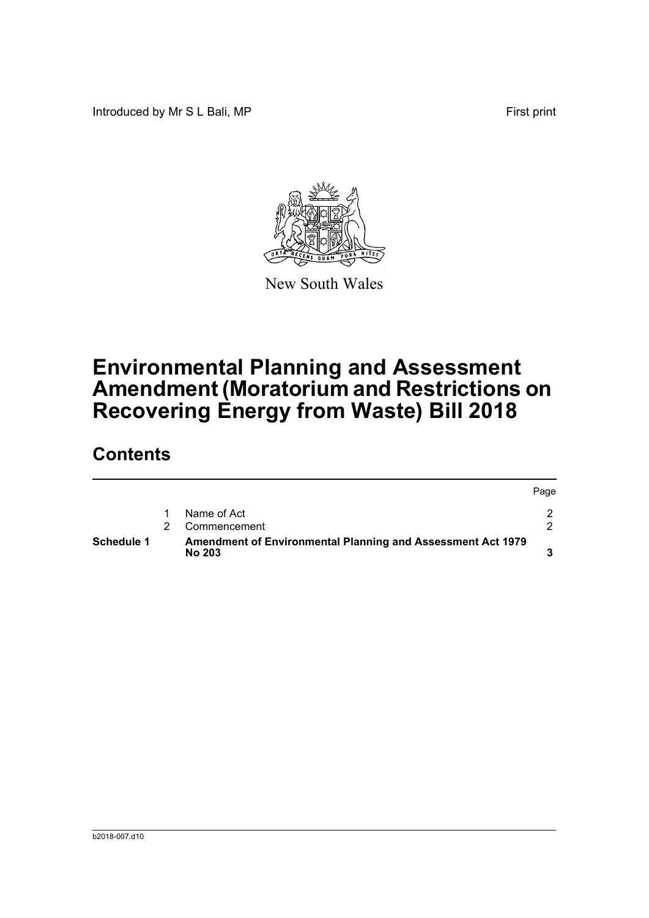Introduced by Mr S L Bali, MP **First** print



New South Wales

# **Environmental Planning and Assessment Amendment (Moratorium and Restrictions on Recovering Energy from Waste) Bill 2018**

# **Contents**

| Schedule 1 | Amendment of Environmental Planning and Assessment Act 1979<br><b>No 203</b> |      |
|------------|------------------------------------------------------------------------------|------|
|            | Commencement                                                                 |      |
|            | Name of Act                                                                  |      |
|            |                                                                              | Page |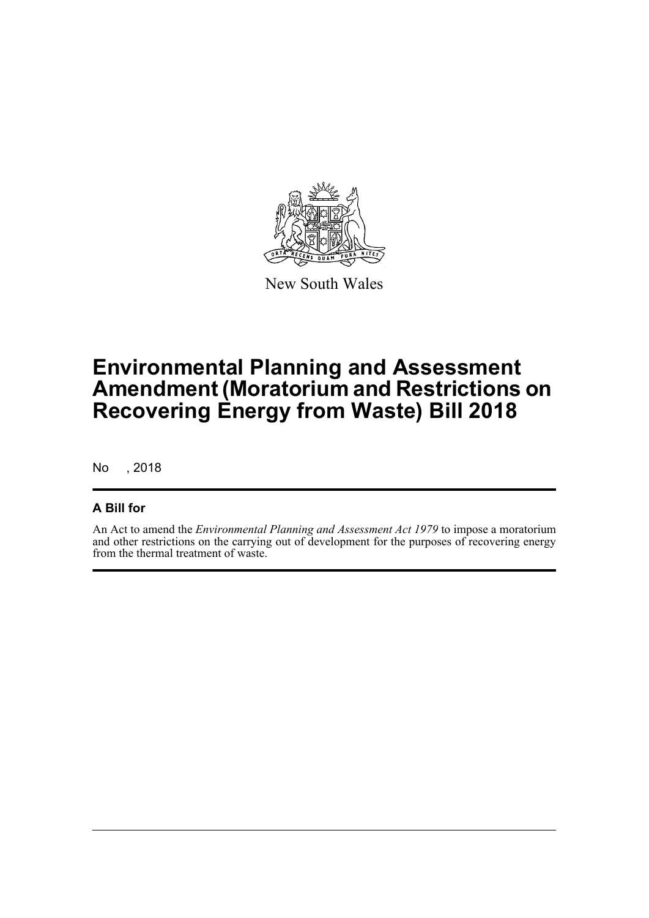

New South Wales

# **Environmental Planning and Assessment Amendment (Moratorium and Restrictions on Recovering Energy from Waste) Bill 2018**

No , 2018

# **A Bill for**

An Act to amend the *Environmental Planning and Assessment Act 1979* to impose a moratorium and other restrictions on the carrying out of development for the purposes of recovering energy from the thermal treatment of waste.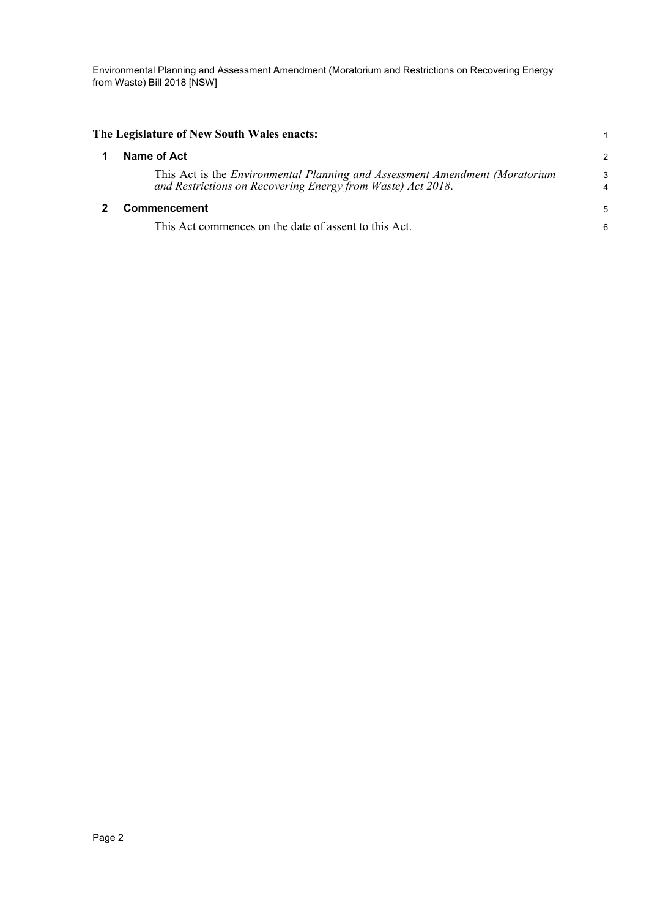<span id="page-5-1"></span><span id="page-5-0"></span>

| The Legislature of New South Wales enacts: |                                                                                                                                                     |        |  |
|--------------------------------------------|-----------------------------------------------------------------------------------------------------------------------------------------------------|--------|--|
|                                            | Name of Act                                                                                                                                         | 2      |  |
|                                            | This Act is the <i>Environmental Planning and Assessment Amendment (Moratorium</i> )<br>and Restrictions on Recovering Energy from Waste) Act 2018. | 3<br>4 |  |
|                                            | Commencement                                                                                                                                        | 5      |  |
|                                            | This Act commences on the date of assent to this Act.                                                                                               | 6      |  |
|                                            |                                                                                                                                                     |        |  |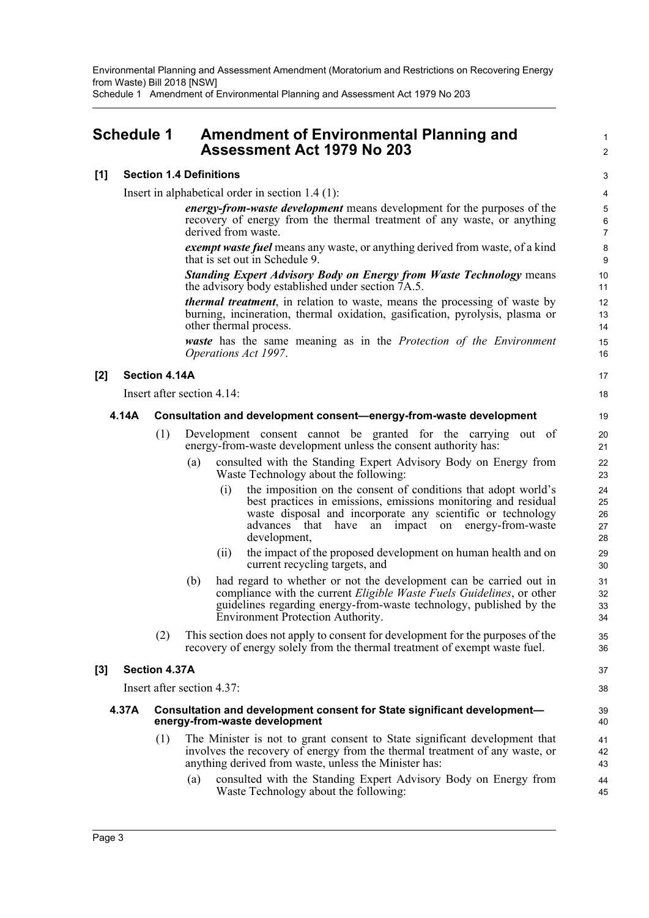Schedule 1 Amendment of Environmental Planning and Assessment Act 1979 No 203

# <span id="page-6-0"></span>**Schedule 1 Amendment of Environmental Planning and Assessment Act 1979 No 203**

## **[1] Section 1.4 Definitions**

Insert in alphabetical order in section 1.4 (1):

*energy-from-waste development* means development for the purposes of the recovery of energy from the thermal treatment of any waste, or anything derived from waste.

1  $\mathcal{L}$ 

*exempt waste fuel* means any waste, or anything derived from waste, of a kind that is set out in Schedule 9.

*Standing Expert Advisory Body on Energy from Waste Technology* means the advisory body established under section 7A.5.

*thermal treatment*, in relation to waste, means the processing of waste by burning, incineration, thermal oxidation, gasification, pyrolysis, plasma or other thermal process.

*waste* has the same meaning as in the *Protection of the Environment Operations Act 1997*.

## **[2] Section 4.14A**

Insert after section 4.14:

#### **4.14A Consultation and development consent—energy-from-waste development**

- (1) Development consent cannot be granted for the carrying out of energy-from-waste development unless the consent authority has:
	- (a) consulted with the Standing Expert Advisory Body on Energy from Waste Technology about the following:
		- (i) the imposition on the consent of conditions that adopt world's best practices in emissions, emissions monitoring and residual waste disposal and incorporate any scientific or technology advances that have an impact on energy-from-waste development,
		- (ii) the impact of the proposed development on human health and on current recycling targets, and
	- (b) had regard to whether or not the development can be carried out in compliance with the current *Eligible Waste Fuels Guidelines*, or other guidelines regarding energy-from-waste technology, published by the Environment Protection Authority.
- (2) This section does not apply to consent for development for the purposes of the recovery of energy solely from the thermal treatment of exempt waste fuel.

## **[3] Section 4.37A**

Insert after section 4.37:

#### **4.37A Consultation and development consent for State significant development energy-from-waste development**

- (1) The Minister is not to grant consent to State significant development that involves the recovery of energy from the thermal treatment of any waste, or anything derived from waste, unless the Minister has:
	- (a) consulted with the Standing Expert Advisory Body on Energy from Waste Technology about the following: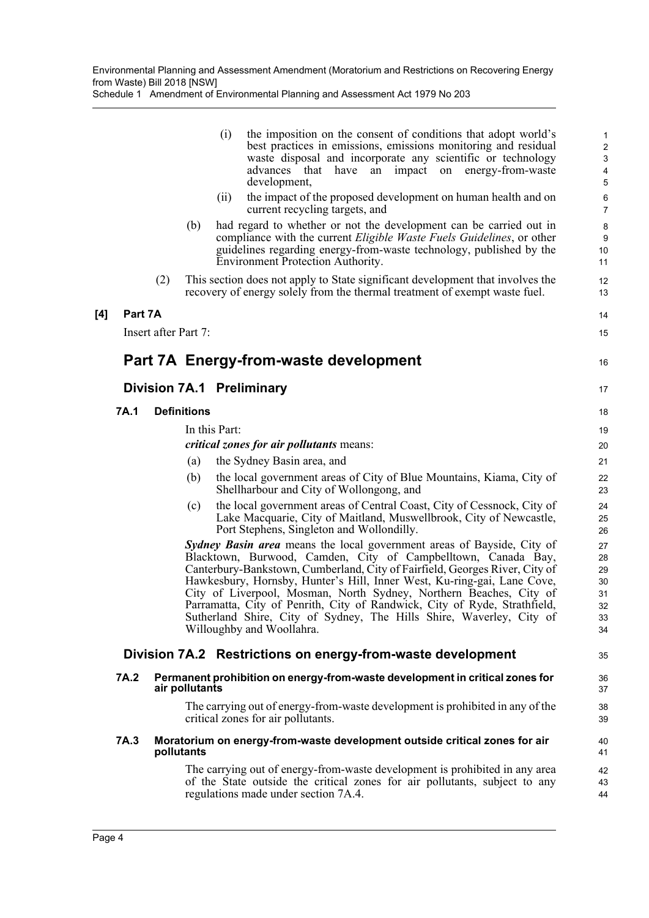Schedule 1 Amendment of Environmental Planning and Assessment Act 1979 No 203

|         |                      |                    | the imposition on the consent of conditions that adopt world's<br>(i)<br>best practices in emissions, emissions monitoring and residual<br>waste disposal and incorporate any scientific or technology                                                                                                                                                                                                                                                                                                                                                    | 1<br>$\sqrt{2}$<br>$\ensuremath{\mathsf{3}}$ |
|---------|----------------------|--------------------|-----------------------------------------------------------------------------------------------------------------------------------------------------------------------------------------------------------------------------------------------------------------------------------------------------------------------------------------------------------------------------------------------------------------------------------------------------------------------------------------------------------------------------------------------------------|----------------------------------------------|
|         |                      |                    | impact<br>on energy-from-waste<br>advances<br>that<br>have<br>an<br>development,                                                                                                                                                                                                                                                                                                                                                                                                                                                                          | $\overline{\mathbf{4}}$<br>5                 |
|         |                      |                    | the impact of the proposed development on human health and on<br>(ii)<br>current recycling targets, and                                                                                                                                                                                                                                                                                                                                                                                                                                                   | $\,6$<br>$\overline{7}$                      |
|         |                      | (b)                | had regard to whether or not the development can be carried out in<br>compliance with the current <i>Eligible Waste Fuels Guidelines</i> , or other<br>guidelines regarding energy-from-waste technology, published by the<br>Environment Protection Authority.                                                                                                                                                                                                                                                                                           | 8<br>$\boldsymbol{9}$<br>10<br>11            |
|         | (2)                  |                    | This section does not apply to State significant development that involves the<br>recovery of energy solely from the thermal treatment of exempt waste fuel.                                                                                                                                                                                                                                                                                                                                                                                              | 12<br>13                                     |
| Part 7A |                      |                    |                                                                                                                                                                                                                                                                                                                                                                                                                                                                                                                                                           | 14                                           |
|         | Insert after Part 7: |                    |                                                                                                                                                                                                                                                                                                                                                                                                                                                                                                                                                           | 15                                           |
|         |                      |                    | Part 7A Energy-from-waste development                                                                                                                                                                                                                                                                                                                                                                                                                                                                                                                     | 16                                           |
|         |                      |                    | Division 7A.1 Preliminary                                                                                                                                                                                                                                                                                                                                                                                                                                                                                                                                 | 17                                           |
| 7A.1    |                      | <b>Definitions</b> |                                                                                                                                                                                                                                                                                                                                                                                                                                                                                                                                                           | 18                                           |
|         |                      |                    | In this Part:                                                                                                                                                                                                                                                                                                                                                                                                                                                                                                                                             | 19                                           |
|         |                      |                    | <i>critical zones for air pollutants means:</i>                                                                                                                                                                                                                                                                                                                                                                                                                                                                                                           | 20                                           |
|         |                      | (a)                | the Sydney Basin area, and                                                                                                                                                                                                                                                                                                                                                                                                                                                                                                                                | 21                                           |
|         |                      | (b)                | the local government areas of City of Blue Mountains, Kiama, City of<br>Shellharbour and City of Wollongong, and                                                                                                                                                                                                                                                                                                                                                                                                                                          | 22<br>23                                     |
|         |                      | (c)                | the local government areas of Central Coast, City of Cessnock, City of<br>Lake Macquarie, City of Maitland, Muswellbrook, City of Newcastle,<br>Port Stephens, Singleton and Wollondilly.                                                                                                                                                                                                                                                                                                                                                                 | 24<br>25<br>26                               |
|         |                      |                    | Sydney Basin area means the local government areas of Bayside, City of<br>Blacktown, Burwood, Camden, City of Campbelltown, Canada Bay,<br>Canterbury-Bankstown, Cumberland, City of Fairfield, Georges River, City of<br>Hawkesbury, Hornsby, Hunter's Hill, Inner West, Ku-ring-gai, Lane Cove,<br>City of Liverpool, Mosman, North Sydney, Northern Beaches, City of<br>Parramatta, City of Penrith, City of Randwick, City of Ryde, Strathfield,<br>Sutherland Shire, City of Sydney, The Hills Shire, Waverley, City of<br>Willoughby and Woollahra. | 27<br>28<br>29<br>30<br>31<br>32<br>33<br>34 |
|         |                      |                    | Division 7A.2 Restrictions on energy-from-waste development                                                                                                                                                                                                                                                                                                                                                                                                                                                                                               | 35                                           |
| 7A.2    |                      | air pollutants     | Permanent prohibition on energy-from-waste development in critical zones for                                                                                                                                                                                                                                                                                                                                                                                                                                                                              | 36<br>37                                     |
|         |                      |                    | The carrying out of energy-from-waste development is prohibited in any of the<br>critical zones for air pollutants.                                                                                                                                                                                                                                                                                                                                                                                                                                       | 38<br>39                                     |
| 7A.3    |                      | pollutants         | Moratorium on energy-from-waste development outside critical zones for air                                                                                                                                                                                                                                                                                                                                                                                                                                                                                | 40<br>41                                     |
|         |                      |                    | The carrying out of energy-from-waste development is prohibited in any area<br>of the State outside the critical zones for air pollutants, subject to any<br>regulations made under section 7A.4.                                                                                                                                                                                                                                                                                                                                                         | 42<br>43<br>44                               |

 $[4]$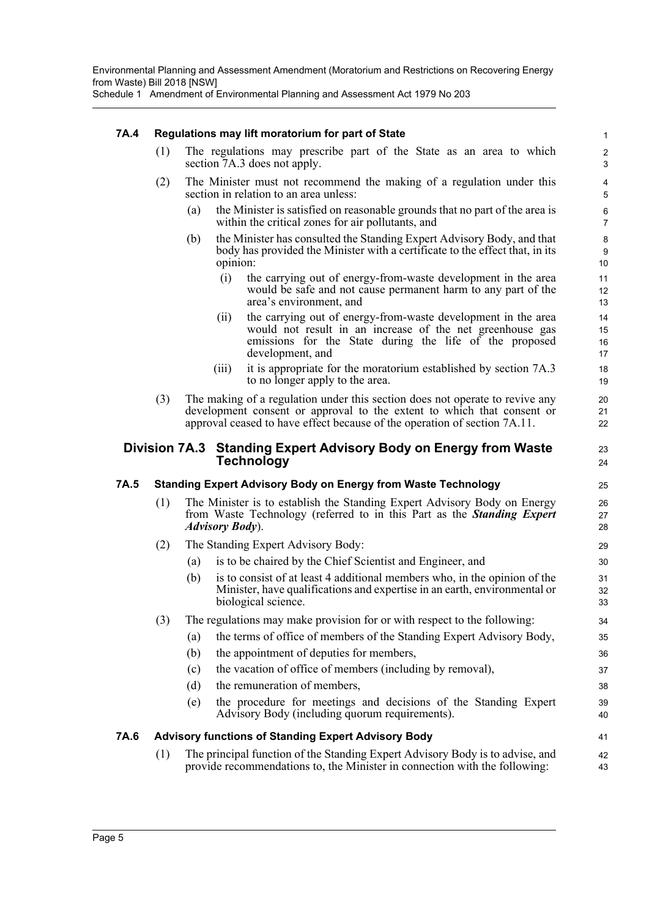Schedule 1 Amendment of Environmental Planning and Assessment Act 1979 No 203

## **7A.4 Regulations may lift moratorium for part of State**

- (1) The regulations may prescribe part of the State as an area to which section 7A.3 does not apply.
- (2) The Minister must not recommend the making of a regulation under this section in relation to an area unless:
	- (a) the Minister is satisfied on reasonable grounds that no part of the area is within the critical zones for air pollutants, and
	- (b) the Minister has consulted the Standing Expert Advisory Body, and that body has provided the Minister with a certificate to the effect that, in its opinion:
		- (i) the carrying out of energy-from-waste development in the area would be safe and not cause permanent harm to any part of the area's environment, and

41 42 43

- (ii) the carrying out of energy-from-waste development in the area would not result in an increase of the net greenhouse gas emissions for the State during the life of the proposed development, and
- (iii) it is appropriate for the moratorium established by section 7A.3 to no longer apply to the area.
- (3) The making of a regulation under this section does not operate to revive any development consent or approval to the extent to which that consent or approval ceased to have effect because of the operation of section 7A.11.

# **Division 7A.3 Standing Expert Advisory Body on Energy from Waste Technology**

# **7A.5 Standing Expert Advisory Body on Energy from Waste Technology**

- (1) The Minister is to establish the Standing Expert Advisory Body on Energy from Waste Technology (referred to in this Part as the *Standing Expert Advisory Body*).
- (2) The Standing Expert Advisory Body:
	- (a) is to be chaired by the Chief Scientist and Engineer, and
	- (b) is to consist of at least 4 additional members who, in the opinion of the Minister, have qualifications and expertise in an earth, environmental or biological science.
- (3) The regulations may make provision for or with respect to the following:
	- (a) the terms of office of members of the Standing Expert Advisory Body,
	- (b) the appointment of deputies for members,
	- (c) the vacation of office of members (including by removal),
	- (d) the remuneration of members,
	- (e) the procedure for meetings and decisions of the Standing Expert Advisory Body (including quorum requirements).

## **7A.6 Advisory functions of Standing Expert Advisory Body**

(1) The principal function of the Standing Expert Advisory Body is to advise, and provide recommendations to, the Minister in connection with the following: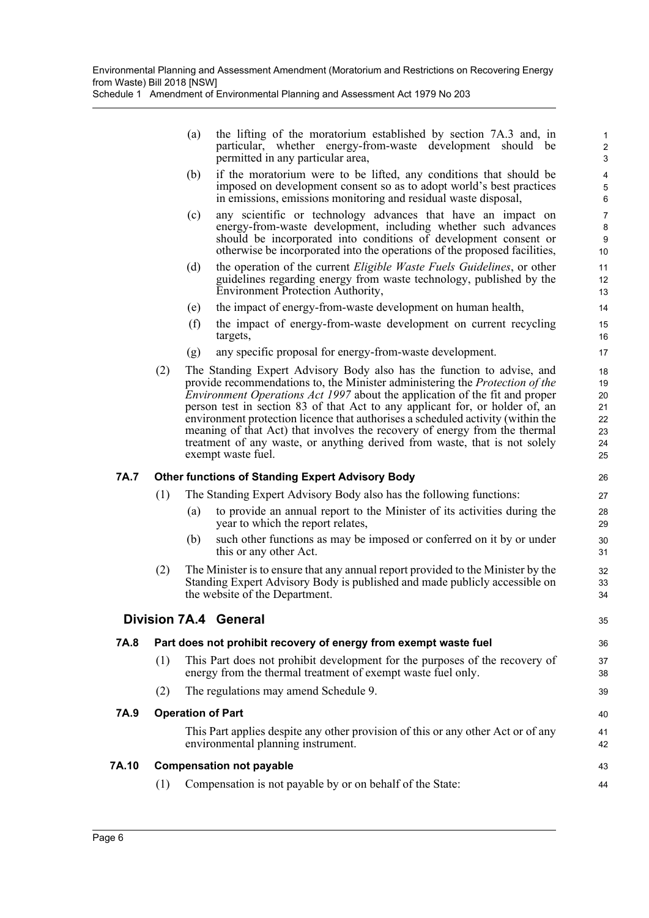(a) the lifting of the moratorium established by section 7A.3 and, in particular, whether energy-from-waste development should be permitted in any particular area,

35

- (b) if the moratorium were to be lifted, any conditions that should be imposed on development consent so as to adopt world's best practices in emissions, emissions monitoring and residual waste disposal,
- (c) any scientific or technology advances that have an impact on energy-from-waste development, including whether such advances should be incorporated into conditions of development consent or otherwise be incorporated into the operations of the proposed facilities,
- (d) the operation of the current *Eligible Waste Fuels Guidelines*, or other guidelines regarding energy from waste technology, published by the Environment Protection Authority,
- (e) the impact of energy-from-waste development on human health,
- (f) the impact of energy-from-waste development on current recycling targets,
- (g) any specific proposal for energy-from-waste development.
- (2) The Standing Expert Advisory Body also has the function to advise, and provide recommendations to, the Minister administering the *Protection of the Environment Operations Act 1997* about the application of the fit and proper person test in section 83 of that Act to any applicant for, or holder of, an environment protection licence that authorises a scheduled activity (within the meaning of that Act) that involves the recovery of energy from the thermal treatment of any waste, or anything derived from waste, that is not solely exempt waste fuel.

## **7A.7 Other functions of Standing Expert Advisory Body**

- (1) The Standing Expert Advisory Body also has the following functions:
	- (a) to provide an annual report to the Minister of its activities during the year to which the report relates,
	- (b) such other functions as may be imposed or conferred on it by or under this or any other Act.
- (2) The Minister is to ensure that any annual report provided to the Minister by the Standing Expert Advisory Body is published and made publicly accessible on the website of the Department.

# **Division 7A.4 General**

| 7A.8  | Part does not prohibit recovery of energy from exempt waste fuel |                                                                                                                                             |          |
|-------|------------------------------------------------------------------|---------------------------------------------------------------------------------------------------------------------------------------------|----------|
|       | (1)                                                              | This Part does not prohibit development for the purposes of the recovery of<br>energy from the thermal treatment of exempt waste fuel only. | 37<br>38 |
|       | (2)                                                              | The regulations may amend Schedule 9.                                                                                                       | 39       |
| 7A.9  | <b>Operation of Part</b>                                         |                                                                                                                                             |          |
|       |                                                                  | This Part applies despite any other provision of this or any other Act or of any<br>environmental planning instrument.                      | 41<br>42 |
| 7A.10 | <b>Compensation not payable</b>                                  |                                                                                                                                             |          |
|       |                                                                  | Compensation is not payable by or on behalf of the State:                                                                                   | 44       |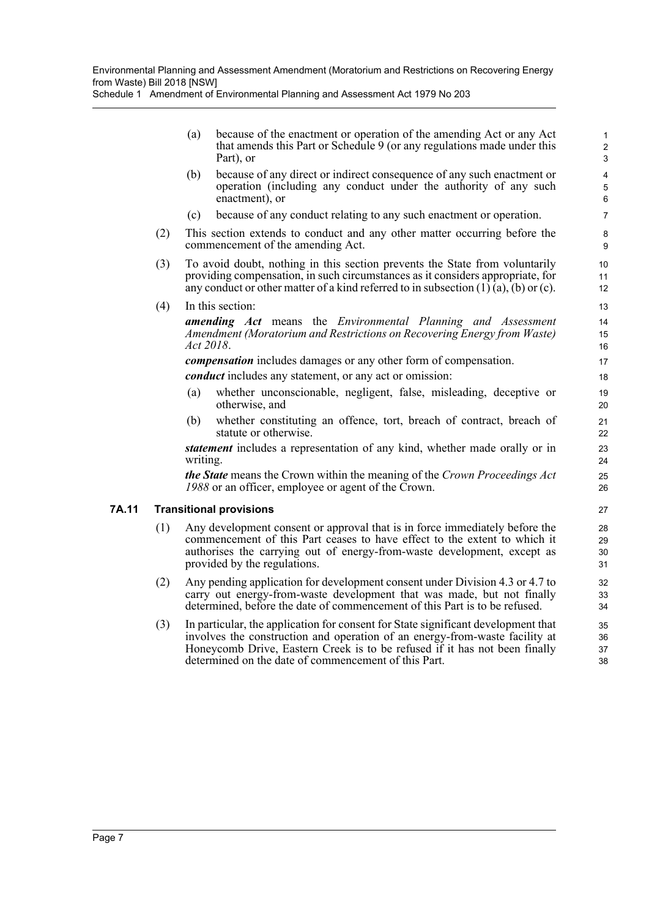(a) because of the enactment or operation of the amending Act or any Act that amends this Part or Schedule 9 (or any regulations made under this Part), or

- (b) because of any direct or indirect consequence of any such enactment or operation (including any conduct under the authority of any such enactment), or
- (c) because of any conduct relating to any such enactment or operation.
- (2) This section extends to conduct and any other matter occurring before the commencement of the amending Act.
- (3) To avoid doubt, nothing in this section prevents the State from voluntarily providing compensation, in such circumstances as it considers appropriate, for any conduct or other matter of a kind referred to in subsection  $(1)$   $(a)$ ,  $(b)$  or  $(c)$ .
- (4) In this section:

*amending Act* means the *Environmental Planning and Assessment Amendment (Moratorium and Restrictions on Recovering Energy from Waste) Act 2018*.

*compensation* includes damages or any other form of compensation.

*conduct* includes any statement, or any act or omission:

- (a) whether unconscionable, negligent, false, misleading, deceptive or otherwise, and
- (b) whether constituting an offence, tort, breach of contract, breach of statute or otherwise.

*statement* includes a representation of any kind, whether made orally or in writing.

*the State* means the Crown within the meaning of the *Crown Proceedings Act 1988* or an officer, employee or agent of the Crown.

## **7A.11 Transitional provisions**

- (1) Any development consent or approval that is in force immediately before the commencement of this Part ceases to have effect to the extent to which it authorises the carrying out of energy-from-waste development, except as provided by the regulations.
- (2) Any pending application for development consent under Division 4.3 or 4.7 to carry out energy-from-waste development that was made, but not finally determined, before the date of commencement of this Part is to be refused.
- (3) In particular, the application for consent for State significant development that involves the construction and operation of an energy-from-waste facility at Honeycomb Drive, Eastern Creek is to be refused if it has not been finally determined on the date of commencement of this Part.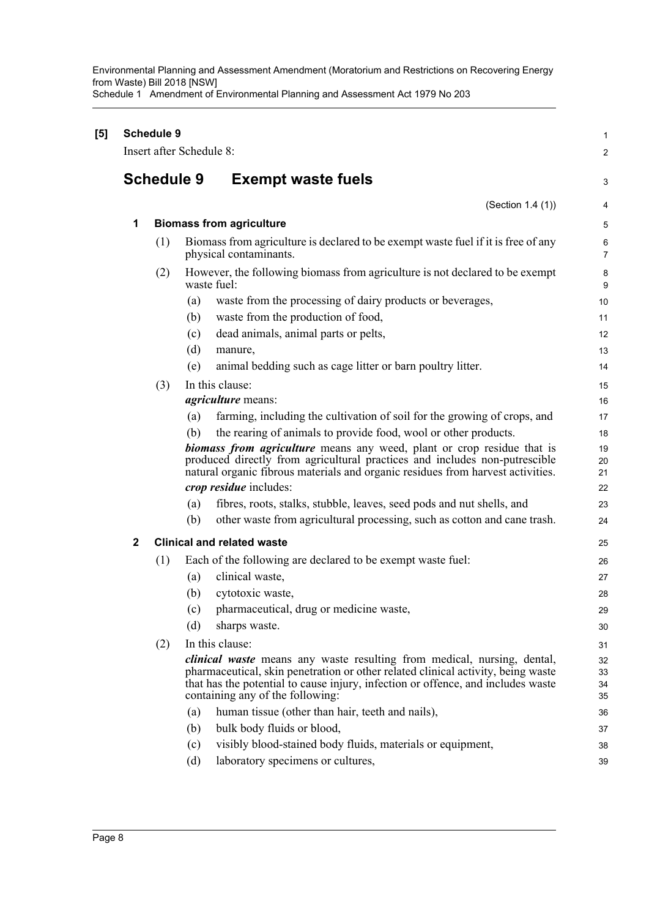Environmental Planning and Assessment Amendment (Moratorium and Restrictions on Recovering Energy from Waste) Bill 2018 [NSW] Schedule 1 Amendment of Environmental Planning and Assessment Act 1979 No 203

| [5] |              | <b>Schedule 9</b> | Insert after Schedule 8: |                                                                                                                                                                                                                                                                                     | 1<br>$\overline{c}$  |
|-----|--------------|-------------------|--------------------------|-------------------------------------------------------------------------------------------------------------------------------------------------------------------------------------------------------------------------------------------------------------------------------------|----------------------|
|     |              |                   |                          |                                                                                                                                                                                                                                                                                     |                      |
|     |              | <b>Schedule 9</b> |                          | <b>Exempt waste fuels</b>                                                                                                                                                                                                                                                           | 3                    |
|     |              |                   |                          | (Section 1.4 (1))                                                                                                                                                                                                                                                                   | 4                    |
|     | 1            |                   |                          | <b>Biomass from agriculture</b>                                                                                                                                                                                                                                                     | 5                    |
|     |              | (1)               |                          | Biomass from agriculture is declared to be exempt waste fuel if it is free of any<br>physical contaminants.                                                                                                                                                                         | 6<br>$\overline{7}$  |
|     |              | (2)               | waste fuel:              | However, the following biomass from agriculture is not declared to be exempt                                                                                                                                                                                                        | 8<br>9               |
|     |              |                   | (a)                      | waste from the processing of dairy products or beverages,                                                                                                                                                                                                                           | 10                   |
|     |              |                   | (b)                      | waste from the production of food,                                                                                                                                                                                                                                                  | 11                   |
|     |              |                   | (c)                      | dead animals, animal parts or pelts,                                                                                                                                                                                                                                                | 12                   |
|     |              |                   | (d)                      | manure,                                                                                                                                                                                                                                                                             | 13                   |
|     |              |                   | (e)                      | animal bedding such as cage litter or barn poultry litter.                                                                                                                                                                                                                          | 14                   |
|     |              | (3)               |                          | In this clause:                                                                                                                                                                                                                                                                     | 15                   |
|     |              |                   |                          | <i>agriculture</i> means:                                                                                                                                                                                                                                                           | 16                   |
|     |              |                   | (a)                      | farming, including the cultivation of soil for the growing of crops, and                                                                                                                                                                                                            | 17                   |
|     |              |                   | (b)                      | the rearing of animals to provide food, wool or other products.                                                                                                                                                                                                                     | 18                   |
|     |              |                   |                          | biomass from agriculture means any weed, plant or crop residue that is<br>produced directly from agricultural practices and includes non-putrescible<br>natural organic fibrous materials and organic residues from harvest activities.                                             | 19<br>20<br>21       |
|     |              |                   |                          | crop residue includes:                                                                                                                                                                                                                                                              | 22                   |
|     |              |                   | (a)                      | fibres, roots, stalks, stubble, leaves, seed pods and nut shells, and                                                                                                                                                                                                               | 23                   |
|     |              |                   | (b)                      | other waste from agricultural processing, such as cotton and cane trash.                                                                                                                                                                                                            | 24                   |
|     | $\mathbf{2}$ |                   |                          | <b>Clinical and related waste</b>                                                                                                                                                                                                                                                   | 25                   |
|     |              | (1)               |                          | Each of the following are declared to be exempt waste fuel:                                                                                                                                                                                                                         | 26                   |
|     |              |                   | (a)                      | clinical waste,                                                                                                                                                                                                                                                                     | 27                   |
|     |              |                   | (b)                      | cytotoxic waste,                                                                                                                                                                                                                                                                    | 28                   |
|     |              |                   |                          | (c) pharmaceutical, drug or medicine waste,                                                                                                                                                                                                                                         | 29                   |
|     |              |                   | (d)                      | sharps waste.                                                                                                                                                                                                                                                                       | 30                   |
|     |              | (2)               |                          | In this clause:                                                                                                                                                                                                                                                                     | 31                   |
|     |              |                   |                          | clinical waste means any waste resulting from medical, nursing, dental,<br>pharmaceutical, skin penetration or other related clinical activity, being waste<br>that has the potential to cause injury, infection or offence, and includes waste<br>containing any of the following: | 32<br>33<br>34<br>35 |
|     |              |                   | (a)                      | human tissue (other than hair, teeth and nails),                                                                                                                                                                                                                                    | 36                   |
|     |              |                   | (b)                      | bulk body fluids or blood,                                                                                                                                                                                                                                                          | 37                   |
|     |              |                   | (c)                      | visibly blood-stained body fluids, materials or equipment,                                                                                                                                                                                                                          | 38                   |
|     |              |                   | (d)                      | laboratory specimens or cultures,                                                                                                                                                                                                                                                   | 39                   |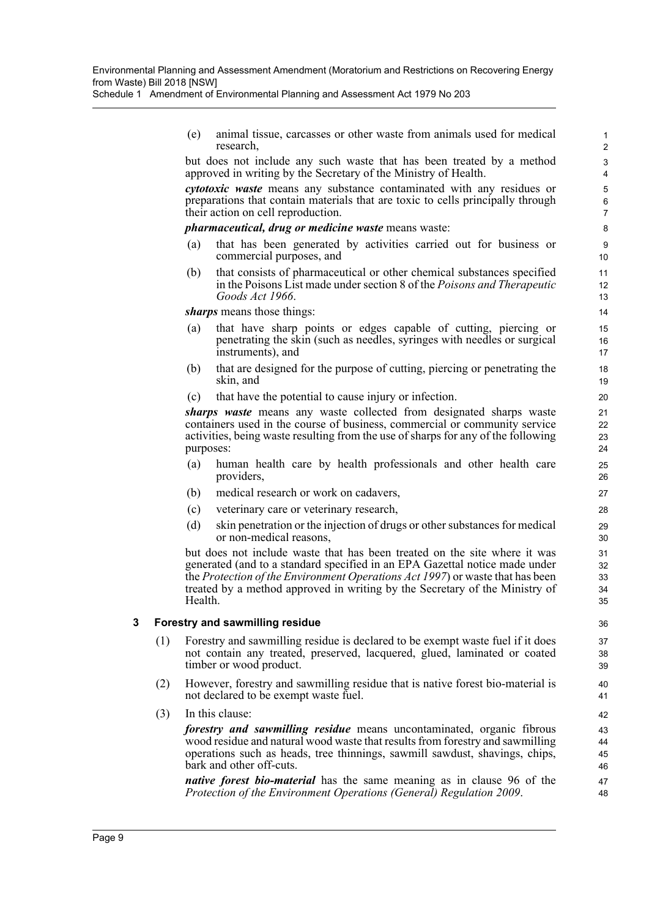(e) animal tissue, carcasses or other waste from animals used for medical research,

but does not include any such waste that has been treated by a method approved in writing by the Secretary of the Ministry of Health.

*cytotoxic waste* means any substance contaminated with any residues or preparations that contain materials that are toxic to cells principally through their action on cell reproduction.

#### *pharmaceutical, drug or medicine waste* means waste:

- (a) that has been generated by activities carried out for business or commercial purposes, and
- (b) that consists of pharmaceutical or other chemical substances specified in the Poisons List made under section 8 of the *Poisons and Therapeutic Goods Act 1966*.

*sharps* means those things:

- (a) that have sharp points or edges capable of cutting, piercing or penetrating the skin (such as needles, syringes with needles or surgical instruments), and
- (b) that are designed for the purpose of cutting, piercing or penetrating the skin, and
- (c) that have the potential to cause injury or infection.

*sharps waste* means any waste collected from designated sharps waste containers used in the course of business, commercial or community service activities, being waste resulting from the use of sharps for any of the following purposes:

- (a) human health care by health professionals and other health care providers,
- (b) medical research or work on cadavers,
- (c) veterinary care or veterinary research,
- (d) skin penetration or the injection of drugs or other substances for medical or non-medical reasons,

but does not include waste that has been treated on the site where it was generated (and to a standard specified in an EPA Gazettal notice made under the *Protection of the Environment Operations Act 1997*) or waste that has been treated by a method approved in writing by the Secretary of the Ministry of Health.

#### **3 Forestry and sawmilling residue**

- (1) Forestry and sawmilling residue is declared to be exempt waste fuel if it does not contain any treated, preserved, lacquered, glued, laminated or coated timber or wood product.
- (2) However, forestry and sawmilling residue that is native forest bio-material is not declared to be exempt waste fuel.
- (3) In this clause:

*forestry and sawmilling residue* means uncontaminated, organic fibrous wood residue and natural wood waste that results from forestry and sawmilling operations such as heads, tree thinnings, sawmill sawdust, shavings, chips, bark and other off-cuts.

*native forest bio-material* has the same meaning as in clause 96 of the *Protection of the Environment Operations (General) Regulation 2009*.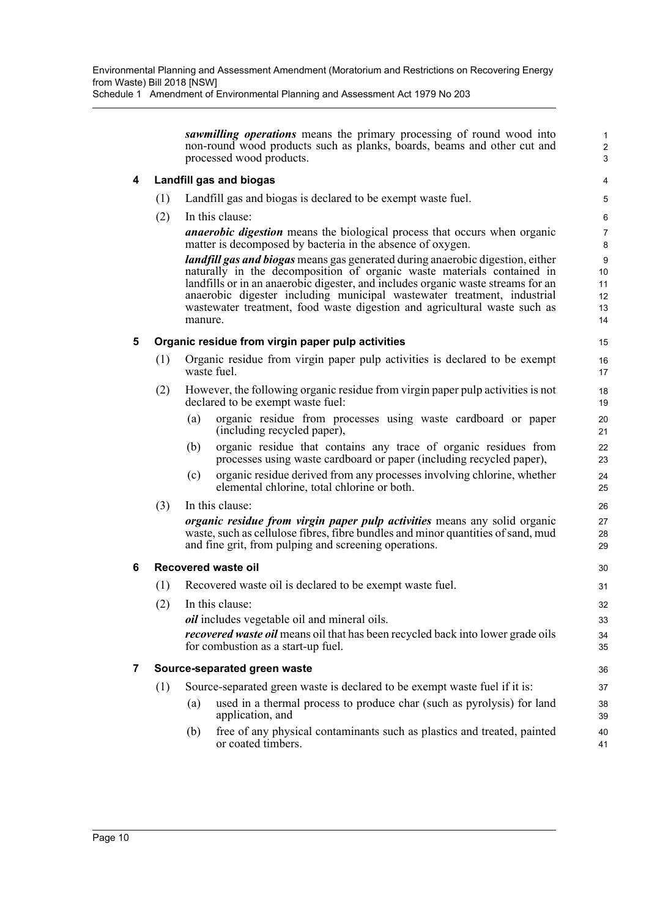*sawmilling operations* means the primary processing of round wood into non-round wood products such as planks, boards, beams and other cut and processed wood products.

# **4 Landfill gas and biogas**

- (1) Landfill gas and biogas is declared to be exempt waste fuel.
- (2) In this clause:

*anaerobic digestion* means the biological process that occurs when organic matter is decomposed by bacteria in the absence of oxygen.

*landfill gas and biogas* means gas generated during anaerobic digestion, either naturally in the decomposition of organic waste materials contained in landfills or in an anaerobic digester, and includes organic waste streams for an anaerobic digester including municipal wastewater treatment, industrial wastewater treatment, food waste digestion and agricultural waste such as manure.

## **5 Organic residue from virgin paper pulp activities**

- (1) Organic residue from virgin paper pulp activities is declared to be exempt waste fuel.
- (2) However, the following organic residue from virgin paper pulp activities is not declared to be exempt waste fuel:
	- (a) organic residue from processes using waste cardboard or paper (including recycled paper),
	- (b) organic residue that contains any trace of organic residues from processes using waste cardboard or paper (including recycled paper),
	- (c) organic residue derived from any processes involving chlorine, whether elemental chlorine, total chlorine or both.
- (3) In this clause:

*organic residue from virgin paper pulp activities* means any solid organic waste, such as cellulose fibres, fibre bundles and minor quantities of sand, mud and fine grit, from pulping and screening operations.

## **6 Recovered waste oil**

- (1) Recovered waste oil is declared to be exempt waste fuel.
- (2) In this clause:

*oil* includes vegetable oil and mineral oils.

*recovered waste oil* means oil that has been recycled back into lower grade oils for combustion as a start-up fuel.

## **7 Source-separated green waste**

(1) Source-separated green waste is declared to be exempt waste fuel if it is:

- (a) used in a thermal process to produce char (such as pyrolysis) for land application, and
	- (b) free of any physical contaminants such as plastics and treated, painted or coated timbers.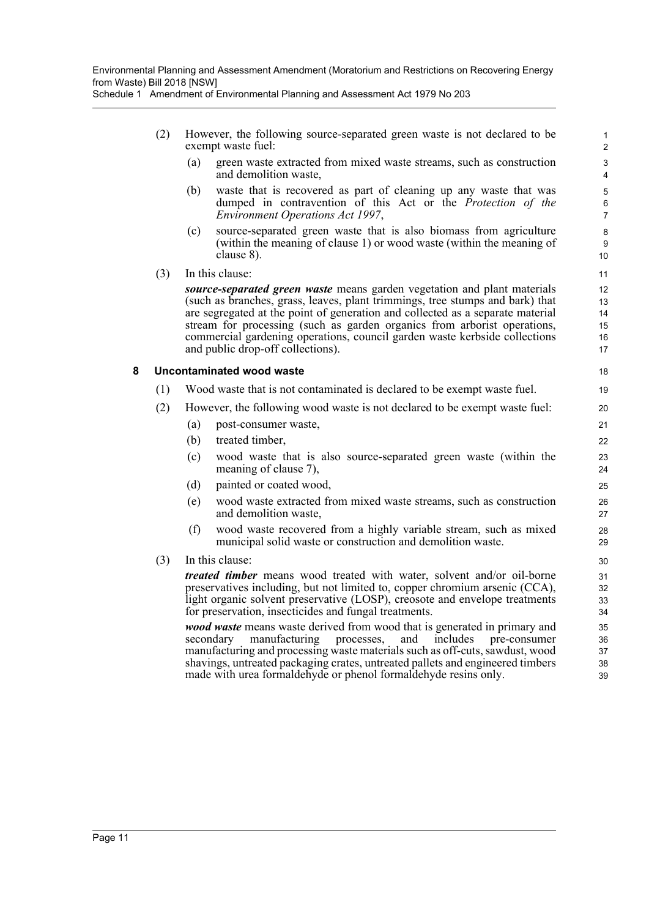- (2) However, the following source-separated green waste is not declared to be exempt waste fuel:
	- (a) green waste extracted from mixed waste streams, such as construction and demolition waste,

- (b) waste that is recovered as part of cleaning up any waste that was dumped in contravention of this Act or the *Protection of the Environment Operations Act 1997*,
- (c) source-separated green waste that is also biomass from agriculture (within the meaning of clause 1) or wood waste (within the meaning of clause 8).
- (3) In this clause:

*source-separated green waste* means garden vegetation and plant materials (such as branches, grass, leaves, plant trimmings, tree stumps and bark) that are segregated at the point of generation and collected as a separate material stream for processing (such as garden organics from arborist operations, commercial gardening operations, council garden waste kerbside collections and public drop-off collections).

#### **8 Uncontaminated wood waste**

- (1) Wood waste that is not contaminated is declared to be exempt waste fuel.
- (2) However, the following wood waste is not declared to be exempt waste fuel:
	- (a) post-consumer waste,
	- (b) treated timber,
	- (c) wood waste that is also source-separated green waste (within the meaning of clause 7),
	- (d) painted or coated wood,
	- (e) wood waste extracted from mixed waste streams, such as construction and demolition waste,
	- (f) wood waste recovered from a highly variable stream, such as mixed municipal solid waste or construction and demolition waste.
- (3) In this clause:

*treated timber* means wood treated with water, solvent and/or oil-borne preservatives including, but not limited to, copper chromium arsenic (CCA), light organic solvent preservative (LOSP), creosote and envelope treatments for preservation, insecticides and fungal treatments.

*wood waste* means waste derived from wood that is generated in primary and secondary manufacturing processes, and includes pre-consumer manufacturing and processing waste materials such as off-cuts, sawdust, wood shavings, untreated packaging crates, untreated pallets and engineered timbers made with urea formaldehyde or phenol formaldehyde resins only.